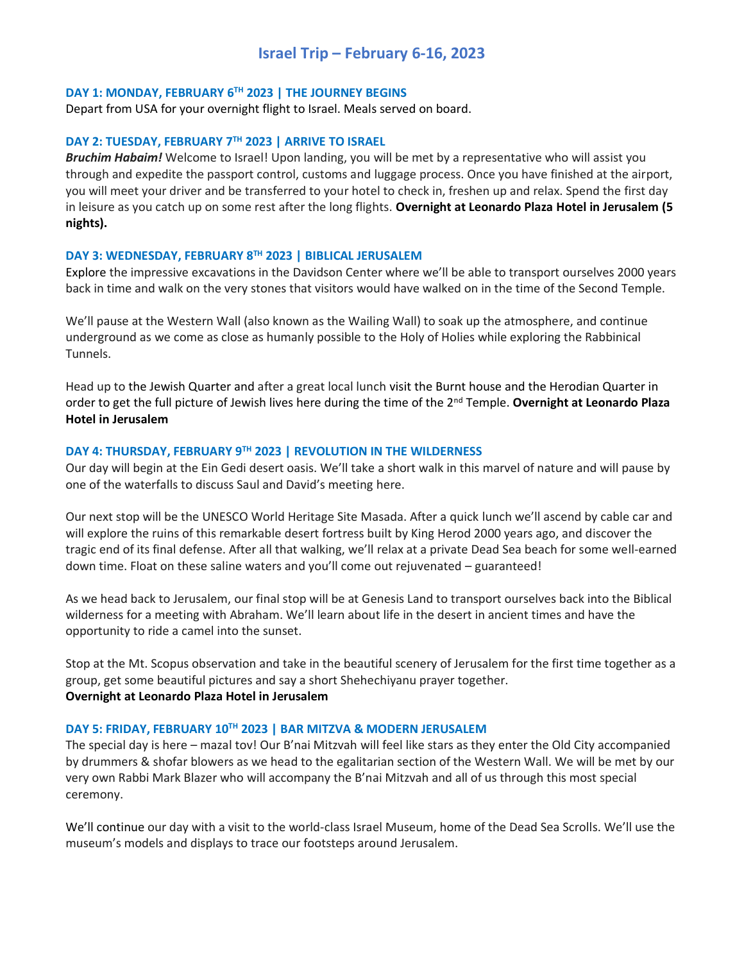# **Israel Trip – February 6-16, 2023**

## **DAY 1: MONDAY, FEBRUARY 6 TH 2023 | THE JOURNEY BEGINS**

Depart from USA for your overnight flight to Israel. Meals served on board.

#### **DAY 2: TUESDAY, FEBRUARY 7TH 2023 | ARRIVE TO ISRAEL**

*Bruchim Habaim!* Welcome to Israel! Upon landing, you will be met by a representative who will assist you through and expedite the passport control, customs and luggage process. Once you have finished at the airport, you will meet your driver and be transferred to your hotel to check in, freshen up and relax. Spend the first day in leisure as you catch up on some rest after the long flights. **Overnight at Leonardo Plaza Hotel in Jerusalem (5 nights).**

## **DAY 3: WEDNESDAY, FEBRUARY 8TH 2023 | BIBLICAL JERUSALEM**

Explore the impressive excavations in the Davidson Center where we'll be able to transport ourselves 2000 years back in time and walk on the very stones that visitors would have walked on in the time of the Second Temple.

We'll pause at the Western Wall (also known as the Wailing Wall) to soak up the atmosphere, and continue underground as we come as close as humanly possible to the Holy of Holies while exploring the Rabbinical Tunnels.

Head up to the Jewish Quarter and after a great local lunch visit the Burnt house and the Herodian Quarter in order to get the full picture of Jewish lives here during the time of the 2nd Temple. **Overnight at Leonardo Plaza Hotel in Jerusalem**

## **DAY 4: THURSDAY, FEBRUARY 9TH 2023 | REVOLUTION IN THE WILDERNESS**

Our day will begin at the Ein Gedi desert oasis. We'll take a short walk in this marvel of nature and will pause by one of the waterfalls to discuss Saul and David's meeting here.

Our next stop will be the UNESCO World Heritage Site Masada. After a quick lunch we'll ascend by cable car and will explore the ruins of this remarkable desert fortress built by King Herod 2000 years ago, and discover the tragic end of its final defense. After all that walking, we'll relax at a private Dead Sea beach for some well-earned down time. Float on these saline waters and you'll come out rejuvenated – guaranteed!

As we head back to Jerusalem, our final stop will be at Genesis Land to transport ourselves back into the Biblical wilderness for a meeting with Abraham. We'll learn about life in the desert in ancient times and have the opportunity to ride a camel into the sunset.

Stop at the Mt. Scopus observation and take in the beautiful scenery of Jerusalem for the first time together as a group, get some beautiful pictures and say a short Shehechiyanu prayer together. **Overnight at Leonardo Plaza Hotel in Jerusalem**

# **DAY 5: FRIDAY, FEBRUARY 10 TH 2023 | BAR MITZVA & MODERN JERUSALEM**

The special day is here – mazal tov! Our B'nai Mitzvah will feel like stars as they enter the Old City accompanied by drummers & shofar blowers as we head to the egalitarian section of the Western Wall. We will be met by our very own Rabbi Mark Blazer who will accompany the B'nai Mitzvah and all of us through this most special ceremony.

We'll continue our day with a visit to the world-class Israel Museum, home of the Dead Sea Scrolls. We'll use the museum's models and displays to trace our footsteps around Jerusalem.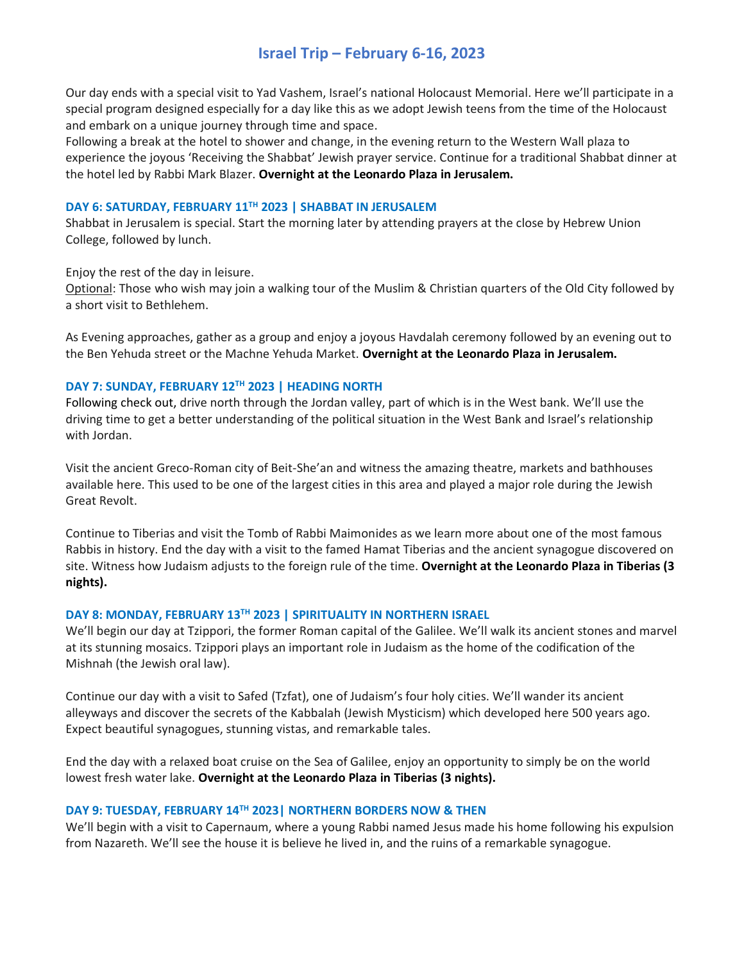# **Israel Trip – February 6-16, 2023**

Our day ends with a special visit to Yad Vashem, Israel's national Holocaust Memorial. Here we'll participate in a special program designed especially for a day like this as we adopt Jewish teens from the time of the Holocaust and embark on a unique journey through time and space.

Following a break at the hotel to shower and change, in the evening return to the Western Wall plaza to experience the joyous 'Receiving the Shabbat' Jewish prayer service. Continue for a traditional Shabbat dinner at the hotel led by Rabbi Mark Blazer. **Overnight at the Leonardo Plaza in Jerusalem.**

# **DAY 6: SATURDAY, FEBRUARY 11 TH 2023 | SHABBAT IN JERUSALEM**

Shabbat in Jerusalem is special. Start the morning later by attending prayers at the close by Hebrew Union College, followed by lunch.

Enjoy the rest of the day in leisure.

Optional: Those who wish may join a walking tour of the Muslim & Christian quarters of the Old City followed by a short visit to Bethlehem.

As Evening approaches, gather as a group and enjoy a joyous Havdalah ceremony followed by an evening out to the Ben Yehuda street or the Machne Yehuda Market. **Overnight at the Leonardo Plaza in Jerusalem.**

# **DAY 7: SUNDAY, FEBRUARY 12TH 2023 | HEADING NORTH**

Following check out, drive north through the Jordan valley, part of which is in the West bank. We'll use the driving time to get a better understanding of the political situation in the West Bank and Israel's relationship with Jordan.

Visit the ancient Greco-Roman city of Beit-She'an and witness the amazing theatre, markets and bathhouses available here. This used to be one of the largest cities in this area and played a major role during the Jewish Great Revolt.

Continue to Tiberias and visit the Tomb of Rabbi Maimonides as we learn more about one of the most famous Rabbis in history. End the day with a visit to the famed Hamat Tiberias and the ancient synagogue discovered on site. Witness how Judaism adjusts to the foreign rule of the time. **Overnight at the Leonardo Plaza in Tiberias (3 nights).**

# **DAY 8: MONDAY, FEBRUARY 13TH 2023 | SPIRITUALITY IN NORTHERN ISRAEL**

We'll begin our day at Tzippori, the former Roman capital of the Galilee. We'll walk its ancient stones and marvel at its stunning mosaics. Tzippori plays an important role in Judaism as the home of the codification of the Mishnah (the Jewish oral law).

Continue our day with a visit to Safed (Tzfat), one of Judaism's four holy cities. We'll wander its ancient alleyways and discover the secrets of the Kabbalah (Jewish Mysticism) which developed here 500 years ago. Expect beautiful synagogues, stunning vistas, and remarkable tales.

End the day with a relaxed boat cruise on the Sea of Galilee, enjoy an opportunity to simply be on the world lowest fresh water lake. **Overnight at the Leonardo Plaza in Tiberias (3 nights).**

# **DAY 9: TUESDAY, FEBRUARY 14TH 2023| NORTHERN BORDERS NOW & THEN**

We'll begin with a visit to Capernaum, where a young Rabbi named Jesus made his home following his expulsion from Nazareth. We'll see the house it is believe he lived in, and the ruins of a remarkable synagogue.